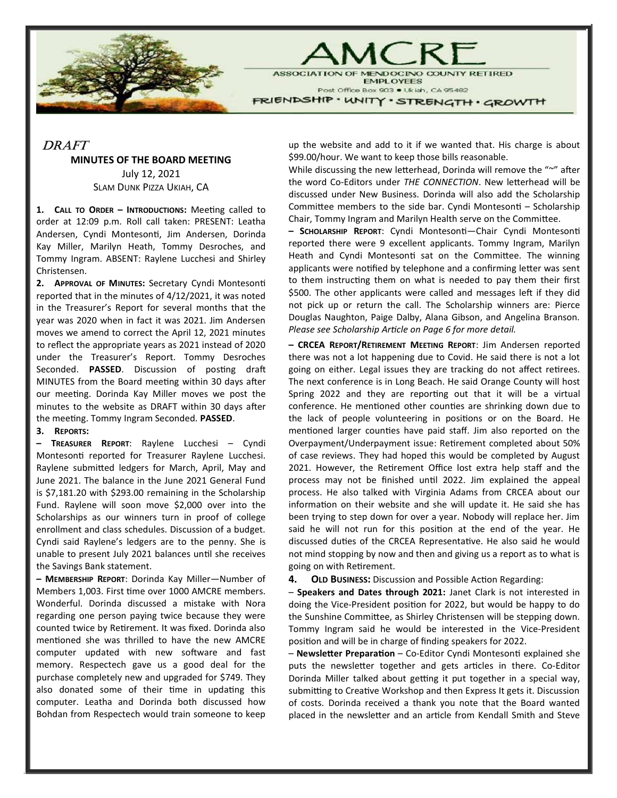

**ASSOCIATION OF** DOCINO COUNTY RETIRED **EMPLOYEES** Post Office Box 903 . Ukiah, CA 95482 FRIENDSHIP · WNITY · STRENGTH · GROWTH

MC R

## DRAFT

## MINUTES OF THE BOARD MEETING

July 12, 2021 SLAM DUNK PIZZA UKIAH, CA

1. CALL TO ORDER - INTRODUCTIONS: Meeting called to order at 12:09 p.m. Roll call taken: PRESENT: Leatha Andersen, Cyndi Montesonti, Jim Andersen, Dorinda Kay Miller, Marilyn Heath, Tommy Desroches, and Tommy Ingram. ABSENT: Raylene Lucchesi and Shirley Christensen.

2. APPROVAL OF MINUTES: Secretary Cyndi Montesonti reported that in the minutes of 4/12/2021, it was noted in the Treasurer's Report for several months that the year was 2020 when in fact it was 2021. Jim Andersen moves we amend to correct the April 12, 2021 minutes to reflect the appropriate years as 2021 instead of 2020 under the Treasurer's Report. Tommy Desroches Seconded. PASSED. Discussion of posting draft MINUTES from the Board meeting within 30 days after our meeting. Dorinda Kay Miller moves we post the minutes to the website as DRAFT within 30 days after the meeting. Tommy Ingram Seconded. PASSED.

## 3. REPORTS:

– TREASURER REPORT: Raylene Lucchesi – Cyndi Montesonti reported for Treasurer Raylene Lucchesi. Raylene submitted ledgers for March, April, May and June 2021. The balance in the June 2021 General Fund is \$7,181.20 with \$293.00 remaining in the Scholarship Fund. Raylene will soon move \$2,000 over into the Scholarships as our winners turn in proof of college enrollment and class schedules. Discussion of a budget. Cyndi said Raylene's ledgers are to the penny. She is unable to present July 2021 balances until she receives the Savings Bank statement.

– MEMBERSHIP REPORT: Dorinda Kay Miller—Number of Members 1,003. First time over 1000 AMCRE members. Wonderful. Dorinda discussed a mistake with Nora regarding one person paying twice because they were counted twice by Retirement. It was fixed. Dorinda also mentioned she was thrilled to have the new AMCRE computer updated with new software and fast memory. Respectech gave us a good deal for the purchase completely new and upgraded for \$749. They also donated some of their time in updating this computer. Leatha and Dorinda both discussed how Bohdan from Respectech would train someone to keep

up the website and add to it if we wanted that. His charge is about \$99.00/hour. We want to keep those bills reasonable.

While discussing the new letterhead, Dorinda will remove the "~" after the word Co-Editors under THE CONNECTION. New letterhead will be discussed under New Business. Dorinda will also add the Scholarship Committee members to the side bar. Cyndi Montesonti - Scholarship Chair, Tommy Ingram and Marilyn Health serve on the Committee.

- SCHOLARSHIP REPORT: Cyndi Montesonti-Chair Cyndi Montesonti reported there were 9 excellent applicants. Tommy Ingram, Marilyn Heath and Cyndi Montesonti sat on the Committee. The winning applicants were notified by telephone and a confirming letter was sent to them instructing them on what is needed to pay them their first \$500. The other applicants were called and messages left if they did not pick up or return the call. The Scholarship winners are: Pierce Douglas Naughton, Paige Dalby, Alana Gibson, and Angelina Branson. Please see Scholarship Article on Page 6 for more detail.

– CRCEA REPORT/RETIREMENT MEETING REPORT: Jim Andersen reported there was not a lot happening due to Covid. He said there is not a lot going on either. Legal issues they are tracking do not affect retirees. The next conference is in Long Beach. He said Orange County will host Spring 2022 and they are reporting out that it will be a virtual conference. He mentioned other counties are shrinking down due to the lack of people volunteering in positions or on the Board. He mentioned larger counties have paid staff. Jim also reported on the Overpayment/Underpayment issue: Retirement completed about 50% of case reviews. They had hoped this would be completed by August 2021. However, the Retirement Office lost extra help staff and the process may not be finished until 2022. Jim explained the appeal process. He also talked with Virginia Adams from CRCEA about our information on their website and she will update it. He said she has been trying to step down for over a year. Nobody will replace her. Jim said he will not run for this position at the end of the year. He discussed duties of the CRCEA Representative. He also said he would not mind stopping by now and then and giving us a report as to what is going on with Retirement.

4. OLD BUSINESS: Discussion and Possible Action Regarding:

– Speakers and Dates through 2021: Janet Clark is not interested in doing the Vice-President position for 2022, but would be happy to do the Sunshine Committee, as Shirley Christensen will be stepping down. Tommy Ingram said he would be interested in the Vice-President position and will be in charge of finding speakers for 2022.

– Newsletter Preparation – Co-Editor Cyndi Montesonti explained she puts the newsletter together and gets articles in there. Co-Editor Dorinda Miller talked about getting it put together in a special way, submitting to Creative Workshop and then Express It gets it. Discussion of costs. Dorinda received a thank you note that the Board wanted placed in the newsletter and an article from Kendall Smith and Steve